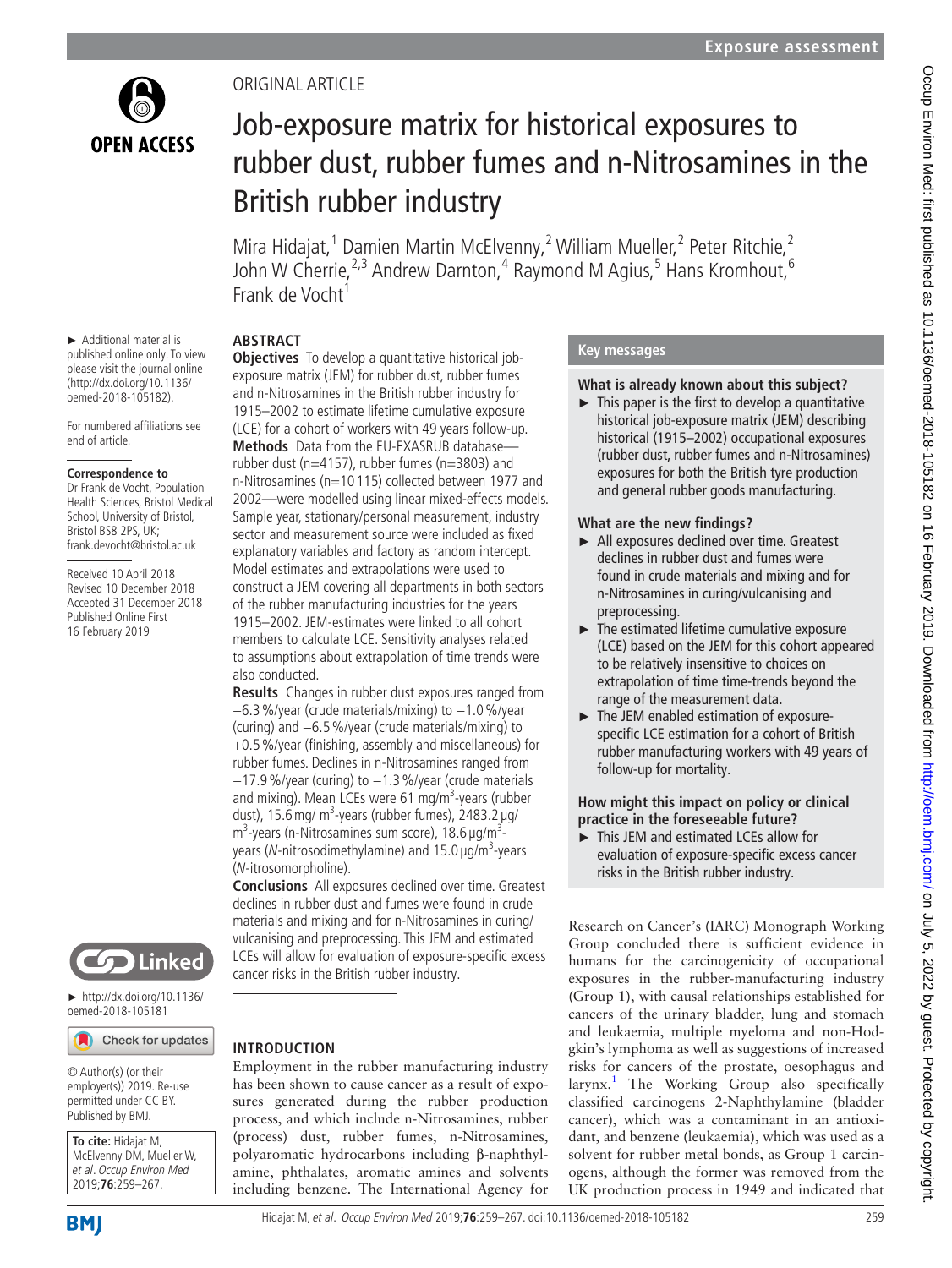

# Original article

# Job-exposure matrix for historical exposures to rubber dust, rubber fumes and n-Nitrosamines in the British rubber industry

Mira Hidajat,<sup>1</sup> Damien Martin McElvenny,<sup>2</sup> William Mueller,<sup>2</sup> Peter Ritchie,<sup>2</sup> John W Cherrie,<sup>2,3</sup> Andrew Darnton,<sup>4</sup> Raymond M Agius,<sup>5</sup> Hans Kromhout,<sup>6</sup> Frank de Vocht<sup>1</sup>

# **Abstract**

► Additional material is published online only. To view please visit the journal online (http://dx.doi.org/10.1136/ oemed-2018-105182).

For numbered affiliations see end of article.

#### **Correspondence to**

Dr Frank de Vocht, Population Health Sciences, Bristol Medical School, University of Bristol, Bristol BS8 2PS, UK: frank.devocht@bristol.ac.uk

Received 10 April 2018 Revised 10 December 2018 Accepted 31 December 2018 Published Online First 16 February 2019



► [http://dx.doi.org/10.1136/](http://dx.doi.org/10.1136/oemed-2018-105181) [oemed-2018-105181](http://dx.doi.org/10.1136/oemed-2018-105181)

Check for updates

© Author(s) (or their employer(s)) 2019. Re-use permitted under CC BY. Published by BMJ.

**To cite:** Hidajat M, McElvenny DM, Mueller W, et al. Occup Environ Med 2019;**76**:259–267.

**Objectives** To develop a quantitative historical jobexposure matrix (JEM) for rubber dust, rubber fumes and n-Nitrosamines in the British rubber industry for 1915–2002 to estimate lifetime cumulative exposure (LCE) for a cohort of workers with 49 years follow-up. **Methods** Data from the EU-EXASRUB database rubber dust (n=4157), rubber fumes (n=3803) and n-Nitrosamines (n=10 115) collected between 1977 and 2002—were modelled using linear mixed-effects models. Sample year, stationary/personal measurement, industry sector and measurement source were included as fixed explanatory variables and factory as random intercept. Model estimates and extrapolations were used to construct a JEM covering all departments in both sectors of the rubber manufacturing industries for the years 1915–2002. JEM-estimates were linked to all cohort members to calculate LCE. Sensitivity analyses related to assumptions about extrapolation of time trends were also conducted.

**Results** Changes in rubber dust exposures ranged from −6.3%/year (crude materials/mixing) to −1.0%/year (curing) and −6.5%/year (crude materials/mixing) to +0.5%/year (finishing, assembly and miscellaneous) for rubber fumes. Declines in n-Nitrosamines ranged from −17.9%/year (curing) to −1.3%/year (crude materials and mixing). Mean LCEs were 61 mg/m<sup>3</sup>-years (rubber dust), 15.6 mg/ m<sup>3</sup>-years (rubber fumes), 2483.2 µg/ m<sup>3</sup>-years (n-Nitrosamines sum score), 18.6  $\mu$ g/m<sup>3</sup>years (N-nitrosodimethylamine) and 15.0 µg/m<sup>3</sup>-years (N-itrosomorpholine).

**Conclusions** All exposures declined over time. Greatest declines in rubber dust and fumes were found in crude materials and mixing and for n-Nitrosamines in curing/ vulcanising and preprocessing. This JEM and estimated LCEs will allow for evaluation of exposure-specific excess cancer risks in the British rubber industry.

## **Introduction**

Employment in the rubber manufacturing industry has been shown to cause cancer as a result of exposures generated during the rubber production process, and which include n-Nitrosamines, rubber (process) dust, rubber fumes, n-Nitrosamines, polyaromatic hydrocarbons including β-naphthylamine, phthalates, aromatic amines and solvents including benzene. The International Agency for

# **Key messages**

## **What is already known about this subject?**

 $\blacktriangleright$  This paper is the first to develop a quantitative historical job-exposure matrix (JEM) describing historical (1915–2002) occupational exposures (rubber dust, rubber fumes and n-Nitrosamines) exposures for both the British tyre production and general rubber goods manufacturing.

# **What are the new findings?**

- ► All exposures declined over time. Greatest declines in rubber dust and fumes were found in crude materials and mixing and for n-Nitrosamines in curing/vulcanising and preprocessing.
- ► The estimated lifetime cumulative exposure (LCE) based on the JEM for this cohort appeared to be relatively insensitive to choices on extrapolation of time time-trends beyond the range of the measurement data.
- ► The JEM enabled estimation of exposurespecific LCE estimation for a cohort of British rubber manufacturing workers with 49 years of follow-up for mortality.

## **How might this impact on policy or clinical practice in the foreseeable future?**

This JEM and estimated LCEs allow for evaluation of exposure-specific excess cancer risks in the British rubber industry.

Research on Cancer's (IARC) Monograph Working Group concluded there is sufficient evidence in humans for the carcinogenicity of occupational exposures in the rubber-manufacturing industry (Group 1), with causal relationships established for cancers of the urinary bladder, lung and stomach and leukaemia, multiple myeloma and non-Hodgkin's lymphoma as well as suggestions of increased risks for cancers of the prostate, oesophagus and larynx.<sup>[1](#page-8-0)</sup> The Working Group also specifically classified carcinogens 2-Naphthylamine (bladder cancer), which was a contaminant in an antioxidant, and benzene (leukaemia), which was used as a solvent for rubber metal bonds, as Group 1 carcinogens, although the former was removed from the UK production process in 1949 and indicated that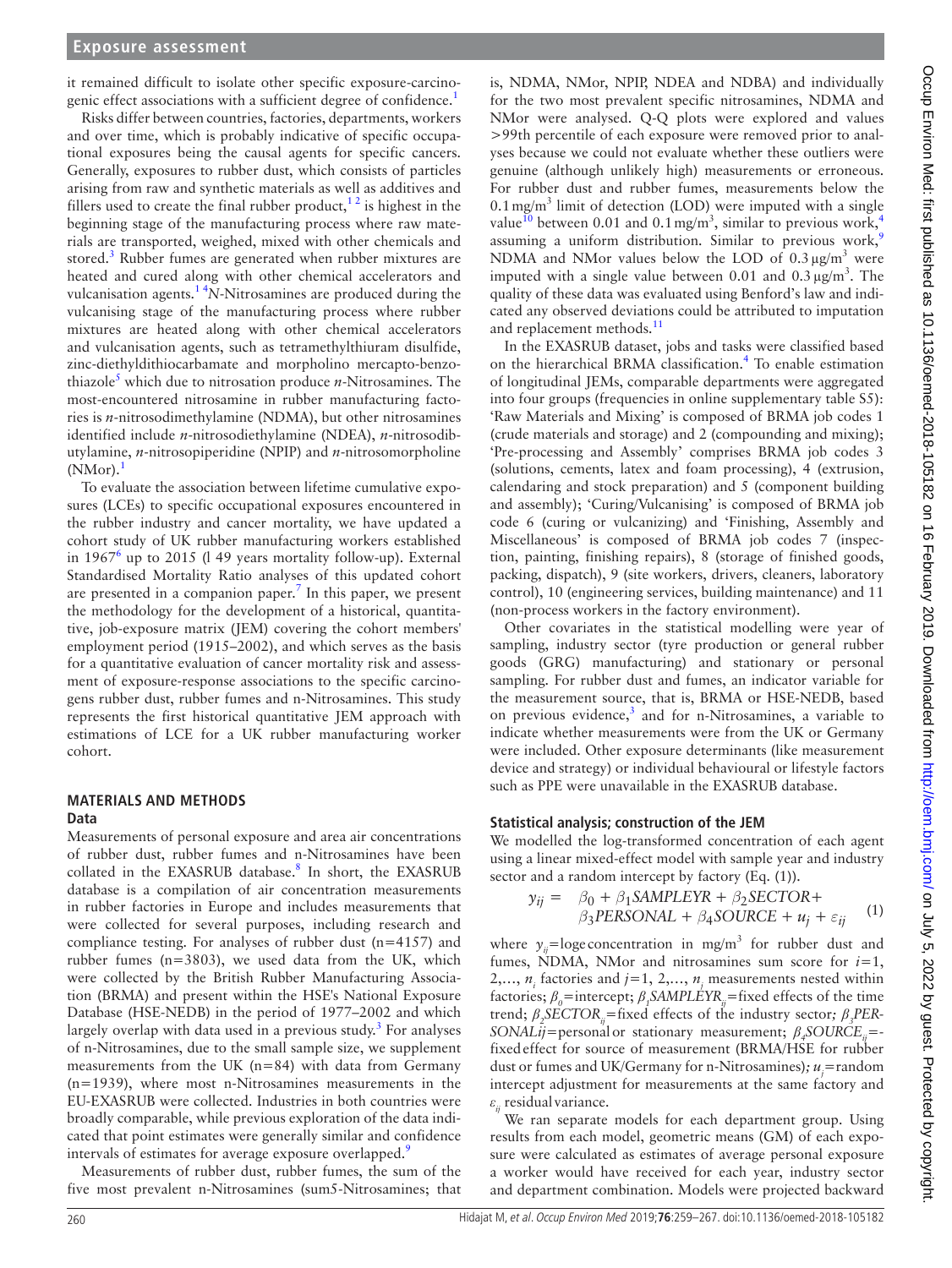it remained difficult to isolate other specific exposure-carcinogenic effect associations with a sufficient degree of confidence.<sup>1</sup>

Risks differ between countries, factories, departments, workers and over time, which is probably indicative of specific occupational exposures being the causal agents for specific cancers. Generally, exposures to rubber dust, which consists of particles arising from raw and synthetic materials as well as additives and fillers used to create the final rubber product, $1<sup>2</sup>$  is highest in the beginning stage of the manufacturing process where raw materials are transported, weighed, mixed with other chemicals and stored.<sup>[3](#page-8-1)</sup> Rubber fumes are generated when rubber mixtures are heated and cured along with other chemical accelerators and vulcanisation agents.[1 4](#page-8-0)*N*-Nitrosamines are produced during the vulcanising stage of the manufacturing process where rubber mixtures are heated along with other chemical accelerators and vulcanisation agents, such as tetramethylthiuram disulfide, zinc-diethyldithiocarbamate and morpholino mercapto-benzothiazole<sup>5</sup> which due to nitrosation produce *n*-Nitrosamines. The most-encountered nitrosamine in rubber manufacturing factories is *n*-nitrosodimethylamine (NDMA), but other nitrosamines identified include *n*-nitrosodiethylamine (NDEA), *n*-nitrosodibutylamine, *n*-nitrosopiperidine (NPIP) and *n*-nitrosomorpholine  $(NMor).<sup>1</sup>$  $(NMor).<sup>1</sup>$  $(NMor).<sup>1</sup>$ 

To evaluate the association between lifetime cumulative exposures (LCEs) to specific occupational exposures encountered in the rubber industry and cancer mortality, we have updated a cohort study of UK rubber manufacturing workers established in  $1967<sup>6</sup>$  $1967<sup>6</sup>$  $1967<sup>6</sup>$  up to 2015 (149 years mortality follow-up). External Standardised Mortality Ratio analyses of this updated cohort are presented in a companion paper.<sup>7</sup> In this paper, we present the methodology for the development of a historical, quantitative, job-exposure matrix (JEM) covering the cohort members' employment period (1915–2002), and which serves as the basis for a quantitative evaluation of cancer mortality risk and assessment of exposure-response associations to the specific carcinogens rubber dust, rubber fumes and n-Nitrosamines. This study represents the first historical quantitative JEM approach with estimations of LCE for a UK rubber manufacturing worker cohort.

#### **Materials and methods Data**

Measurements of personal exposure and area air concentrations of rubber dust, rubber fumes and n-Nitrosamines have been collated in the EXASRUB database.<sup>8</sup> In short, the EXASRUB database is a compilation of air concentration measurements in rubber factories in Europe and includes measurements that were collected for several purposes, including research and compliance testing. For analyses of rubber dust (n=4157) and rubber fumes (n=3803), we used data from the UK, which were collected by the British Rubber Manufacturing Association (BRMA) and present within the HSE's National Exposure Database (HSE-NEDB) in the period of 1977–2002 and which largely overlap with data used in a previous study.<sup>[3](#page-8-1)</sup> For analyses of n-Nitrosamines, due to the small sample size, we supplement measurements from the UK (n=84) with data from Germany (n=1939), where most n-Nitrosamines measurements in the EU-EXASRUB were collected. Industries in both countries were broadly comparable, while previous exploration of the data indicated that point estimates were generally similar and confidence intervals of estimates for average exposure overlapped.<sup>[9](#page-8-6)</sup>

Measurements of rubber dust, rubber fumes, the sum of the five most prevalent n-Nitrosamines (sum5-Nitrosamines; that

is, NDMA, NMor, NPIP, NDEA and NDBA) and individually for the two most prevalent specific nitrosamines, NDMA and NMor were analysed. Q-Q plots were explored and values >99th percentile of each exposure were removed prior to analyses because we could not evaluate whether these outliers were genuine (although unlikely high) measurements or erroneous. For rubber dust and rubber fumes, measurements below the  $0.1 \,\text{mg/m}^3$  limit of detection (LOD) were imputed with a single value<sup>10</sup> between 0.01 and 0.1 mg/m<sup>3</sup>, similar to previous work,<sup>[4](#page-8-8)</sup> assuming a uniform distribution. Similar to previous work,<sup>[9](#page-8-6)</sup> NDMA and NMor values below the LOD of  $0.3 \mu g/m^3$  were imputed with a single value between 0.01 and  $0.3 \mu\text{g/m}^3$ . The quality of these data was evaluated using Benford's law and indicated any observed deviations could be attributed to imputation and replacement methods.<sup>[11](#page-8-9)</sup>

In the EXASRUB dataset, jobs and tasks were classified based on the hierarchical BRMA classification.<sup>4</sup> To enable estimation of longitudinal JEMs, comparable departments were aggregated into four groups (frequencies in online [supplementary table S5](https://dx.doi.org/10.1136/oemed-2018-105182)): 'Raw Materials and Mixing' is composed of BRMA job codes 1 (crude materials and storage) and 2 (compounding and mixing); 'Pre-processing and Assembly' comprises BRMA job codes 3 (solutions, cements, latex and foam processing), 4 (extrusion, calendaring and stock preparation) and 5 (component building and assembly); 'Curing/Vulcanising' is composed of BRMA job code 6 (curing or vulcanizing) and 'Finishing, Assembly and Miscellaneous' is composed of BRMA job codes 7 (inspection, painting, finishing repairs), 8 (storage of finished goods, packing, dispatch), 9 (site workers, drivers, cleaners, laboratory control), 10 (engineering services, building maintenance) and 11 (non-process workers in the factory environment).

Other covariates in the statistical modelling were year of sampling, industry sector (tyre production or general rubber goods (GRG) manufacturing) and stationary or personal sampling. For rubber dust and fumes, an indicator variable for the measurement source, that is, BRMA or HSE-NEDB, based on previous evidence,<sup>[3](#page-8-1)</sup> and for n-Nitrosamines, a variable to indicate whether measurements were from the UK or Germany were included. Other exposure determinants (like measurement device and strategy) or individual behavioural or lifestyle factors such as PPE were unavailable in the EXASRUB database.

## **Statistical analysis; construction of the JEM**

We modelled the log-transformed concentration of each agent using a linear mixed-effect model with sample year and industry sector and a random intercept by factory (Eq. (1)).

$$
y_{ij} = \beta_0 + \beta_1 SAMPLEXR + \beta_2 SECTOR + \beta_3 PERSONAL + \beta_4 SOLRCE + u_j + \varepsilon_{ij}
$$
 (1)

where  $y_{ij}$ =loge concentration in mg/m<sup>3</sup> for rubber dust and fumes, NDMA, NMor and nitrosamines sum score for  $i=1$ , 2,...,  $n_i$  factories and  $j=1, 2,..., n_j$  measurements nested within factories;  $β_0$ =intercept;  $β_1$ SAMPLÉYR<sub>*ij*</sub>=fixed effects of the time trend; *β<sup>2</sup> SECTORij=*fixed effects of the industry sector*; β<sup>3</sup> PER-SONALij*=personalor stationary measurement; *β<sup>4</sup> SOURCEij*= fixedeffect for source of measurement (BRMA/HSE for rubber dust or fumes and UK/Germany for n-Nitrosamines)*; uj =*random intercept adjustment for measurements at the same factory and *εij* residual variance.

We ran separate models for each department group. Using results from each model, geometric means (GM) of each exposure were calculated as estimates of average personal exposure a worker would have received for each year, industry sector and department combination. Models were projected backward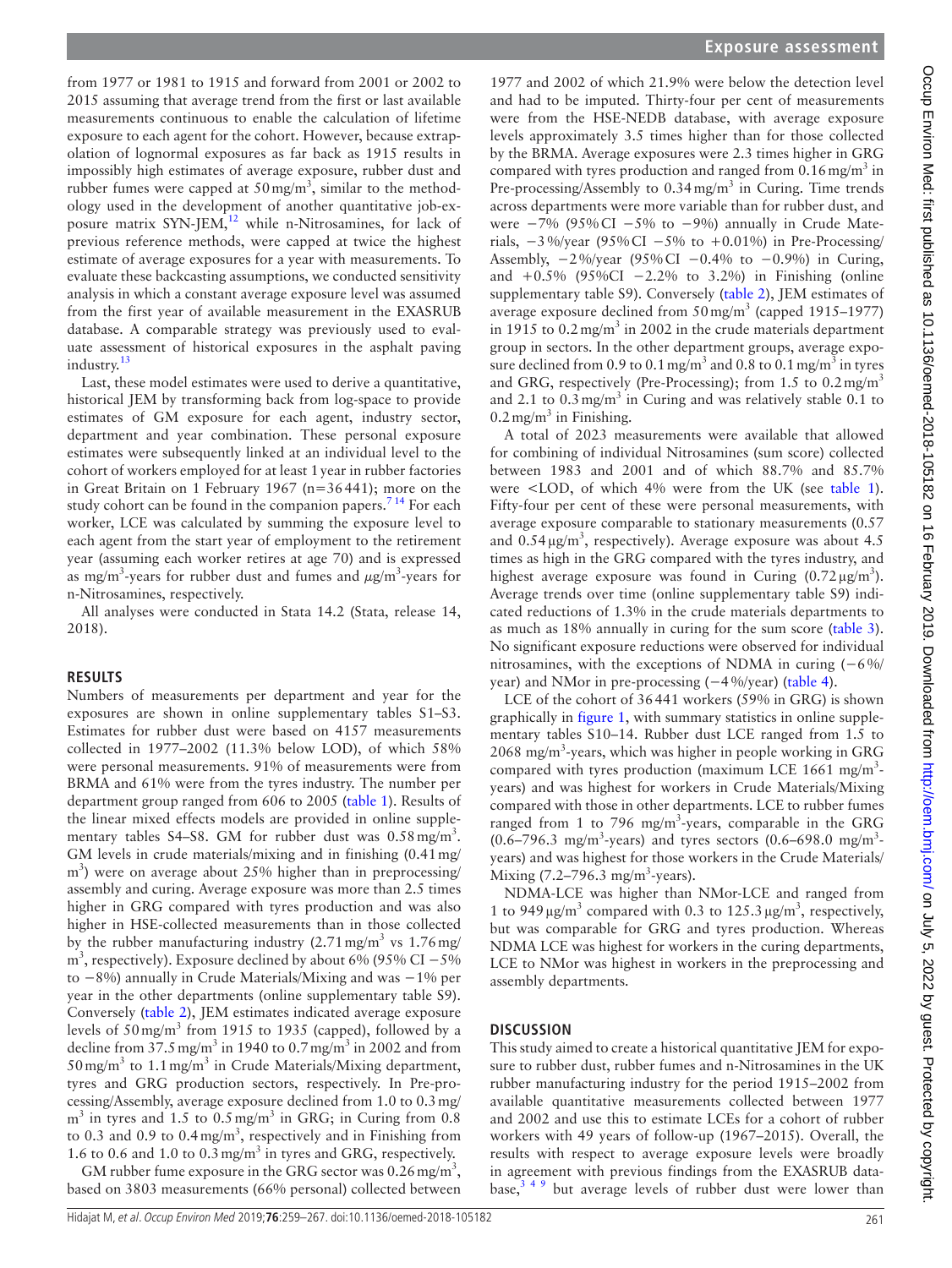from 1977 or 1981 to 1915 and forward from 2001 or 2002 to 2015 assuming that average trend from the first or last available measurements continuous to enable the calculation of lifetime exposure to each agent for the cohort. However, because extrapolation of lognormal exposures as far back as 1915 results in impossibly high estimates of average exposure, rubber dust and rubber fumes were capped at  $50 \,\text{mg/m}^3$ , similar to the methodology used in the development of another quantitative job-exposure matrix  $SYN-JEM$ <sup>[12](#page-8-10)</sup> while n-Nitrosamines, for lack of previous reference methods, were capped at twice the highest estimate of average exposures for a year with measurements. To evaluate these backcasting assumptions, we conducted sensitivity analysis in which a constant average exposure level was assumed from the first year of available measurement in the EXASRUB database. A comparable strategy was previously used to evaluate assessment of historical exposures in the asphalt paving industry.<sup>[13](#page-8-11)</sup>

Last, these model estimates were used to derive a quantitative, historical JEM by transforming back from log-space to provide estimates of GM exposure for each agent, industry sector, department and year combination. These personal exposure estimates were subsequently linked at an individual level to the cohort of workers employed for at least 1year in rubber factories in Great Britain on 1 February 1967 (n=36441); more on the study cohort can be found in the companion papers.<sup>7</sup> <sup>14</sup> For each worker, LCE was calculated by summing the exposure level to each agent from the start year of employment to the retirement year (assuming each worker retires at age 70) and is expressed as mg/m<sup>3</sup>-years for rubber dust and fumes and  $\mu$ g/m<sup>3</sup>-years for n-Nitrosamines, respectively.

All analyses were conducted in Stata 14.2 (Stata, release 14, 2018).

## **Results**

Numbers of measurements per department and year for the exposures are shown in online [supplementary tables S1–S3](https://dx.doi.org/10.1136/oemed-2018-105182). Estimates for rubber dust were based on 4157 measurements collected in 1977–2002 (11.3% below LOD), of which 58% were personal measurements. 91% of measurements were from BRMA and 61% were from the tyres industry. The number per department group ranged from 606 to 2005 [\(table](#page-3-0) 1). Results of the linear mixed effects models are provided in online [supple](https://dx.doi.org/10.1136/oemed-2018-105182)mentary tables S4-S8. GM for rubber dust was  $0.58 \text{ mg/m}^3$ . GM levels in crude materials/mixing and in finishing (0.41mg/  $\text{m}^3$ ) were on average about 25% higher than in preprocessing/ assembly and curing. Average exposure was more than 2.5 times higher in GRG compared with tyres production and was also higher in HSE-collected measurements than in those collected by the rubber manufacturing industry  $(2.71 \text{ mg/m}^3 \text{ vs } 1.76 \text{ mg/m}^3)$ m<sup>3</sup>, respectively). Exposure declined by about 6% (95% CI – 5% to −8%) annually in Crude Materials/Mixing and was −1% per year in the other departments (online [supplementary table S9](https://dx.doi.org/10.1136/oemed-2018-105182)). Conversely ([table](#page-4-0) 2), JEM estimates indicated average exposure levels of  $50 \text{ mg/m}^3$  from 1915 to 1935 (capped), followed by a decline from  $37.5 \text{ mg/m}^3$  in 1940 to 0.7 mg/m<sup>3</sup> in 2002 and from  $50 \,\text{mg/m}^3$  to  $1.1 \,\text{mg/m}^3$  in Crude Materials/Mixing department, tyres and GRG production sectors, respectively. In Pre-processing/Assembly, average exposure declined from 1.0 to 0.3mg/  $m<sup>3</sup>$  in tyres and 1.5 to 0.5 mg/m<sup>3</sup> in GRG; in Curing from 0.8 to 0.3 and 0.9 to 0.4 mg/m<sup>3</sup>, respectively and in Finishing from 1.6 to 0.6 and 1.0 to 0.3mg/m<sup>3</sup> in tyres and GRG, respectively.

GM rubber fume exposure in the GRG sector was  $0.26 \,\text{mg/m}^3$ , based on 3803 measurements (66% personal) collected between

1977 and 2002 of which 21.9% were below the detection level and had to be imputed. Thirty-four per cent of measurements were from the HSE-NEDB database, with average exposure levels approximately 3.5 times higher than for those collected by the BRMA. Average exposures were 2.3 times higher in GRG compared with tyres production and ranged from  $0.16$  mg/m<sup>3</sup> in Pre-processing/Assembly to 0.34 mg/m<sup>3</sup> in Curing. Time trends across departments were more variable than for rubber dust, and were  $-7\%$  (95% CI  $-5\%$  to  $-9\%$ ) annually in Crude Materials,  $-3\%$ /year (95% CI  $-5\%$  to  $+0.01\%$ ) in Pre-Processing/ Assembly,  $-2\%$ /year (95%CI  $-0.4\%$  to  $-0.9\%$ ) in Curing, and  $+0.5\%$  (95%CI  $-2.2\%$  to 3.2%) in Finishing (online [supplementary table S9](https://dx.doi.org/10.1136/oemed-2018-105182)). Conversely [\(table](#page-4-0) 2), JEM estimates of average exposure declined from  $50 \,\text{mg/m}^3$  (capped 1915–1977) in 1915 to  $0.2 \text{ mg/m}^3$  in 2002 in the crude materials department group in sectors. In the other department groups, average exposure declined from 0.9 to 0.1 mg/m<sup>3</sup> and 0.8 to 0.1 mg/m<sup>3</sup> in tyres and GRG, respectively (Pre-Processing); from 1.5 to  $0.2 \text{ mg/m}^3$ and 2.1 to  $0.3 \text{ mg/m}^3$  in Curing and was relatively stable 0.1 to  $0.2$  mg/m<sup>3</sup> in Finishing.

A total of 2023 measurements were available that allowed for combining of individual Nitrosamines (sum score) collected between 1983 and 2001 and of which 88.7% and 85.7% were <LOD, of which 4% were from the UK (see [table](#page-3-0) 1). Fifty-four per cent of these were personal measurements, with average exposure comparable to stationary measurements (0.57 and  $0.54 \,\mathrm{\upmu g/m^3}$ , respectively). Average exposure was about 4.5 times as high in the GRG compared with the tyres industry, and highest average exposure was found in Curing  $(0.72 \,\mu\text{g/m}^3)$ . Average trends over time (online [supplementary table S9](https://dx.doi.org/10.1136/oemed-2018-105182)) indicated reductions of 1.3% in the crude materials departments to as much as 18% annually in curing for the sum score [\(table](#page-5-0) 3). No significant exposure reductions were observed for individual nitrosamines, with the exceptions of NDMA in curing (−6%/ year) and NMor in pre-processing (−4%/year) ([table](#page-6-0) 4).

LCE of the cohort of 36441 workers (59% in GRG) is shown graphically in [figure](#page-7-0) 1, with summary statistics in online [supple](https://dx.doi.org/10.1136/oemed-2018-105182)[mentary tables S10–14.](https://dx.doi.org/10.1136/oemed-2018-105182) Rubber dust LCE ranged from 1.5 to 2068 mg/m<sup>3</sup>-years, which was higher in people working in GRG compared with tyres production (maximum LCE 1661 mg/m<sup>3</sup>years) and was highest for workers in Crude Materials/Mixing compared with those in other departments. LCE to rubber fumes ranged from 1 to 796 mg/m<sup>3</sup>-years, comparable in the GRG  $(0.6-796.3 \text{ mg/m}^3\text{-years})$  and tyres sectors  $(0.6-698.0 \text{ mg/m}^3\text{-}$ years) and was highest for those workers in the Crude Materials/ Mixing  $(7.2 - 796.3 \text{ mg/m}^3\text{-years})$ .

NDMA-LCE was higher than NMor-LCE and ranged from 1 to 949  $\mu$ g/m<sup>3</sup> compared with 0.3 to 125.3  $\mu$ g/m<sup>3</sup>, respectively, but was comparable for GRG and tyres production. Whereas NDMA LCE was highest for workers in the curing departments, LCE to NMor was highest in workers in the preprocessing and assembly departments.

## **Discussion**

This study aimed to create a historical quantitative JEM for exposure to rubber dust, rubber fumes and n-Nitrosamines in the UK rubber manufacturing industry for the period 1915–2002 from available quantitative measurements collected between 1977 and 2002 and use this to estimate LCEs for a cohort of rubber workers with 49 years of follow-up (1967–2015). Overall, the results with respect to average exposure levels were broadly in agreement with previous findings from the EXASRUB database, $3^{49}$  but average levels of rubber dust were lower than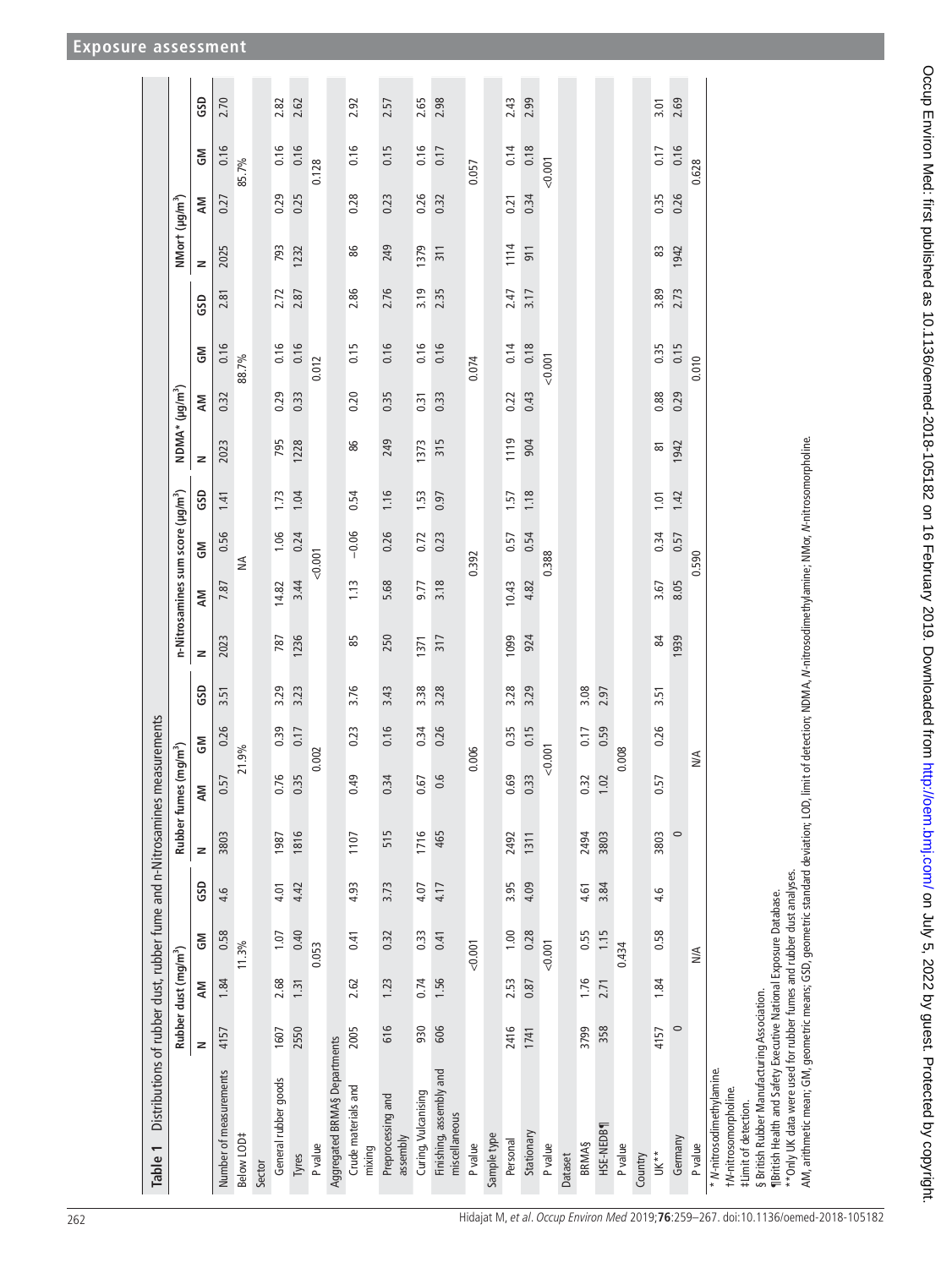<span id="page-3-0"></span>

| Distributions of rubber dust, rubber fume and n-Nitrosamines<br>Table 1                                                                                                                                                                                                                                                                                     |         |                                  |              |      |            |                              | measurements |      |      |                                                                              |         |      |                            |      |       |      |                            |      |         |      |
|-------------------------------------------------------------------------------------------------------------------------------------------------------------------------------------------------------------------------------------------------------------------------------------------------------------------------------------------------------------|---------|----------------------------------|--------------|------|------------|------------------------------|--------------|------|------|------------------------------------------------------------------------------|---------|------|----------------------------|------|-------|------|----------------------------|------|---------|------|
|                                                                                                                                                                                                                                                                                                                                                             |         | Rubber dust (mg/m <sup>3</sup> ) |              |      | Rubber fun | es (mg/m <sup>3</sup> )      |              |      |      | n-Nitrosamines sum score (µg/m <sup>3</sup> )                                |         |      | NDMA* (µg/m <sup>3</sup> ) |      |       |      | NMort (µg/m <sup>3</sup> ) |      |         |      |
|                                                                                                                                                                                                                                                                                                                                                             | z       | NΝ                               | $\mathsf{S}$ | GSD  | z          | AM                           | $\mathsf{S}$ | GSD  | z    | AM                                                                           | ŠΜ      | GSD  | z                          | NΝ   | ŠΡ    | GSD  | z                          | NΝ   | ŠΣ      | GSD  |
| Number of measurements                                                                                                                                                                                                                                                                                                                                      | 4157    | 1.84                             | 0.58         | 4.6  | 3803       | 0.57                         | 0.26         | 3.51 | 2023 | 7.87                                                                         | 0.56    | 1.41 | 2023                       | 0.32 | 0.16  | 2.81 | 2025                       | 0.27 | 0.16    | 2.70 |
| Below LOD#                                                                                                                                                                                                                                                                                                                                                  |         |                                  | 11.3%        |      |            | 21.9%                        |              |      |      | ₹                                                                            |         |      |                            |      | 88.7% |      |                            |      | 85.7%   |      |
| Sector                                                                                                                                                                                                                                                                                                                                                      |         |                                  |              |      |            |                              |              |      |      |                                                                              |         |      |                            |      |       |      |                            |      |         |      |
| General rubber goods                                                                                                                                                                                                                                                                                                                                        | 1607    | 2.68                             | 1.07         | 4.01 | 1987       | 0.76                         | 0.39         | 3.29 | 787  | 14.82                                                                        | 1.06    | 1.73 | 795                        | 0.29 | 0.16  | 2.72 | 793                        | 0.29 | 0.16    | 2.82 |
| Tyres                                                                                                                                                                                                                                                                                                                                                       | 2550    | 1.31                             | 0.40         | 4.42 | 1816       | 0.35                         | 0.17         | 3.23 | 1236 | 3.44                                                                         | 0.24    | 1.04 | 1228                       | 0.33 | 0.16  | 2.87 | 1232                       | 0.25 | 0.16    | 2.62 |
| P value                                                                                                                                                                                                                                                                                                                                                     |         |                                  | 0.053        |      |            | 0.002                        |              |      |      | 0.001                                                                        |         |      |                            |      | 0.012 |      |                            |      | 0.128   |      |
| Aggregated BRMA§ Departments                                                                                                                                                                                                                                                                                                                                |         |                                  |              |      |            |                              |              |      |      |                                                                              |         |      |                            |      |       |      |                            |      |         |      |
| Crude materials and<br>mixing                                                                                                                                                                                                                                                                                                                               | 2005    | 2.62                             | 0.41         | 4.93 | 1107       | 0.49                         | 0.23         | 3.76 | 85   | 1.13                                                                         | $-0.06$ | 0.54 | 86                         | 0.20 | 0.15  | 2.86 | 86                         | 0.28 | 0.16    | 2.92 |
| Preprocessing and<br>assembly                                                                                                                                                                                                                                                                                                                               | 616     | 1.23                             | 0.32         | 3.73 | 515        | 0.34                         | 0.16         | 3.43 | 250  | 5.68                                                                         | 0.26    | 1.16 | 249                        | 0.35 | 0.16  | 2.76 | 249                        | 0.23 | 0.15    | 2.57 |
| Curing, Vulcanising                                                                                                                                                                                                                                                                                                                                         | 930     | 0.74                             | 0.33         | 4.07 | 1716       | 0.67                         | 0.34         | 3.38 | 1371 | 9.77                                                                         | 0.72    | 1.53 | 1373                       | 0.31 | 0.16  | 3.19 | 1379                       | 0.26 | 0.16    | 2.65 |
| Finishing, assembly and<br>miscellaneous                                                                                                                                                                                                                                                                                                                    | 606     | 1.56                             | 0.41         | 4.17 | 465        | 0.6                          | 0.26         | 3.28 | 317  | 3.18                                                                         | 0.23    | 0.97 | 315                        | 0.33 | 0.16  | 2.35 | 311                        | 0.32 | 0.17    | 2.98 |
| P value                                                                                                                                                                                                                                                                                                                                                     |         |                                  | < 0.001      |      |            | 0.006                        |              |      |      | 0.392                                                                        |         |      |                            |      | 0.074 |      |                            |      | 0.057   |      |
| Sample type                                                                                                                                                                                                                                                                                                                                                 |         |                                  |              |      |            |                              |              |      |      |                                                                              |         |      |                            |      |       |      |                            |      |         |      |
| Personal                                                                                                                                                                                                                                                                                                                                                    | 2416    | 2.53                             | 1.00         | 3.95 | 2492       | 0.69                         | 0.35         | 3.28 | 1099 | 10.43                                                                        | 0.57    | 1.57 | 1119                       | 0.22 | 0.14  | 2.47 | 1114                       | 0.21 | 0.14    | 2.43 |
| Stationary                                                                                                                                                                                                                                                                                                                                                  | 1741    | 0.87                             | 0.28         | 4.09 | 1311       | 0.33                         | 0.15         | 3.29 | 924  | 4.82                                                                         | 0.54    | 1.18 | 904                        | 0.43 | 0.18  | 3.17 | 911                        | 0.34 | 0.18    | 2.99 |
| P value                                                                                                                                                                                                                                                                                                                                                     |         |                                  | < 0.001      |      |            | 0.001                        |              |      |      | 0.388                                                                        |         |      |                            |      | 0.001 |      |                            |      | < 0.001 |      |
| Dataset                                                                                                                                                                                                                                                                                                                                                     |         |                                  |              |      |            |                              |              |      |      |                                                                              |         |      |                            |      |       |      |                            |      |         |      |
| <b>BRMAS</b>                                                                                                                                                                                                                                                                                                                                                | 3799    | 1.76                             | 0.55         | 4.61 | 2494       | 0.32                         | 0.17         | 3.08 |      |                                                                              |         |      |                            |      |       |      |                            |      |         |      |
| HSE-NEDB1                                                                                                                                                                                                                                                                                                                                                   | 358     | 2.71                             | 1.15         | 3.84 | 3803       | 1.02                         | 0.59         | 2.97 |      |                                                                              |         |      |                            |      |       |      |                            |      |         |      |
| P value                                                                                                                                                                                                                                                                                                                                                     |         |                                  | 0.434        |      |            | 0.008                        |              |      |      |                                                                              |         |      |                            |      |       |      |                            |      |         |      |
| Country                                                                                                                                                                                                                                                                                                                                                     |         |                                  |              |      |            |                              |              |      |      |                                                                              |         |      |                            |      |       |      |                            |      |         |      |
| $UK**$                                                                                                                                                                                                                                                                                                                                                      | 4157    | 1.84                             | 0.58         | 4.6  | 3803       | 0.57                         | 0.26         | 3.51 | \$   | 3.67                                                                         | 0.34    | 1.01 | $\overline{\infty}$        | 0.88 | 0.35  | 3.89 | 83                         | 0.35 | 0.17    | 3.01 |
| Germany                                                                                                                                                                                                                                                                                                                                                     | $\circ$ |                                  |              |      | $\circ$    |                              |              |      | 939  | 8.05                                                                         | 0.57    | 1.42 | 1942                       | 0.29 | 0.15  | 2.73 | 1942                       | 0.26 | 0.16    | 2.69 |
| P value                                                                                                                                                                                                                                                                                                                                                     |         |                                  | $M\triangle$ |      |            | $\stackrel{\triangle}{\geq}$ |              |      |      | 0.590                                                                        |         |      |                            |      | 0.010 |      |                            |      | 0.628   |      |
| AM, arithmetic mean; GM, geometric means; GSD, geometric standard deviation; LOD,<br>** Only UK data were used for rubber fumes and rubber dust analyses.<br>IB ritish Health and Safety Executive National Exposure Database.<br>§ British Rubber Manufacturing Association.<br>* N-nitrosodimethylamine.<br>tN-nitrosomorpholine.<br>#Limit of detection. |         |                                  |              |      |            |                              |              |      |      | limit of detection; NDMA, N-nitrosodimethylamine; NMor, N-nitrosomorpholine. |         |      |                            |      |       |      |                            |      |         |      |

Occup Environ Med: first published as 10.1136/oemed-2018-105182 on 16 February 2019. Downloaded from http://oem.bmj.com/ on July 5, 2022 by guest. Protected by copyright. Occup Environ Med: first published as 10.1136/oemed-2018-105182 on 16 February 2019. Downloaded from Med: //oem.bmj.com/ on July 5, 2022 by guest. Protected by copyright.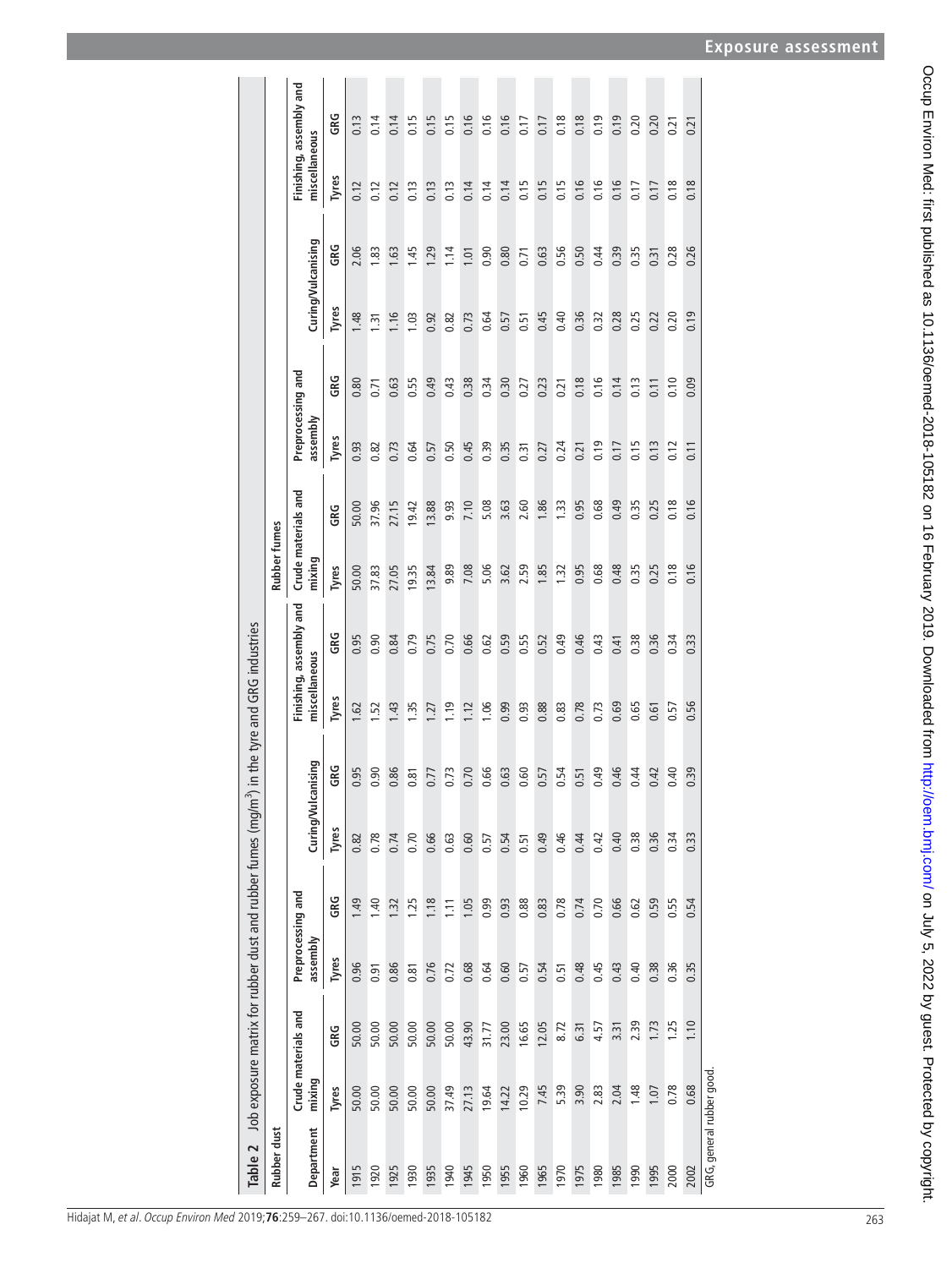<span id="page-4-0"></span>

| Table 2                   |        |                     |                               |      |               | Job exposure matrix for rubber dust and rubber fumes (mg/m <sup>3</sup> ) in the tyre and GRG industries |                |                         |                               |       |                               |      |                    |      |               |                         |
|---------------------------|--------|---------------------|-------------------------------|------|---------------|----------------------------------------------------------------------------------------------------------|----------------|-------------------------|-------------------------------|-------|-------------------------------|------|--------------------|------|---------------|-------------------------|
| Rubber dust               |        |                     |                               |      |               |                                                                                                          |                |                         | <b>Rubber fumes</b>           |       |                               |      |                    |      |               |                         |
| Department                | mixing | Crude materials and | Preprocessing and<br>assembly |      | Curing/Vulcan | lising                                                                                                   | miscellaneous  | Finishing, assembly and | Crude materials and<br>mixing |       | Preprocessing and<br>assembly |      | Curing/Vulcanising |      | miscellaneous | Finishing, assembly and |
| Year                      | Tyres  | GRG                 | Tyres                         | GRG  | Tyres         | GRG                                                                                                      | Tyres          | GRG                     | Tyres                         | GRG   | Tyres                         | GRG  | Tyres              | GRG  | Tyres         | GRG                     |
| 1915                      | 50.00  | 50.00               | 0.96                          | 1.49 | 0.82          | 95                                                                                                       | 1.62           | 0.95                    | 50.00                         | 50.00 | 0.93                          | 0.80 | 1.48               | 2.06 | 0.12          | 0.13                    |
| 1920                      | 50.00  | 50.00               | 0.91                          | 1.40 | 0.78          | $\overline{90}$                                                                                          | 5.             | 0.90                    | 37.83                         | 37.96 | 0.82                          | 0.71 | $\overline{131}$   | 1.83 | 0.12          | 0.14                    |
| 1925                      | 50.00  | 50.00               | 0.86                          | 1.32 | 0.74          | 86                                                                                                       | $\frac{43}{2}$ | 0.84                    | 27.05                         | 27.15 | 0.73                          | 0.63 | 1.16               | 1.63 | 0.12          | 0.14                    |
| 1930                      | 50.00  | 50.00               | 0.81                          | I.25 | 0.70          | $\overline{\infty}$                                                                                      | 1.35           | 0.79                    | 19.35                         | 19.42 | 0.64                          | 0.55 | 1.03               | 1.45 | 0.13          | 0.15                    |
| 1935                      | 50.00  | 50.00               | 0.76                          | 1.18 | 0.66          | L.                                                                                                       | .27            | 0.75                    | 13.84                         | 13.88 | 0.57                          | 0.49 | 0.92               | 1.29 | 0.13          | 0.15                    |
| 1940                      | 37.49  | 50.00               | 0.72                          | 1.11 | 0.63          | $\overline{r}$                                                                                           | 1.19           | 0.70                    | 9.89                          | 9.93  | 0.50                          | 0.43 | 0.82               | 1.14 | 0.13          | 0.15                    |
| 1945                      | 27.13  | 43.90               | 0.68                          | 1.05 | 0.60          | $\overline{.70}$                                                                                         | 1.12           | 0.66                    | 7.08                          | 7.10  | 0.45                          | 0.38 | 0.73               | 1.01 | 0.14          | 0.16                    |
| 1950                      | 19.64  | 31.77               | 0.64                          | 0.99 | 0.57          | 99                                                                                                       | 1.06           | 0.62                    | 5.06                          | 5.08  | 0.39                          | 0.34 | 0.64               | 0.90 | 0.14          | 0.16                    |
| 1955                      | 14.22  | 23.00               | 0.60                          | 0.93 | 0.54          | G3                                                                                                       | 0.99           | 0.59                    | 3.62                          | 3.63  | 0.35                          | 0.30 | 0.57               | 0.80 | 0.14          | 0.16                    |
| 1960                      | 10.29  | 16.65               | 0.57                          | 0.88 | 0.51          | GO.                                                                                                      | 0.93           | 0.55                    | 2.59                          | 2.60  | 0.31                          | 0.27 | 0.51               | 0.71 | 0.15          | 0.17                    |
| 1965                      | 7.45   | 12.05               | 0.54                          | 0.83 | 0.49          | 57                                                                                                       | 0.88           | 0.52                    | 1.85                          | 1.86  | 0.27                          | 0.23 | 0.45               | 0.63 | 0.15          | 0.17                    |
| 1970                      | 5.39   | 8.72                | 0.51                          | 0.78 | 0.46          | 54                                                                                                       | 0.83           | 0.49                    | 1.32                          | 1.33  | 0.24                          | 0.21 | 0.40               | 0.56 | 0.15          | 0.18                    |
| 1975                      | 3.90   | 6.31                | 0.48                          | 0.74 | 0.44          | $\overline{51}$                                                                                          | 0.78           | 0.46                    | 0.95                          | 0.95  | 0.21                          | 0.18 | 0.36               | 0.50 | 0.16          | 0.18                    |
| 1980                      | 2.83   | 4.57                | 0.45                          | 0.70 | 0.42          | <b>ę</b>                                                                                                 | 0.73           | 0.43                    | 0.68                          | 0.68  | 0.19                          | 0.16 | 0.32               | 0.44 | 0.16          | 0.19                    |
| 1985                      | 2.04   | 3.31                | 0.43                          | 0.66 | 0.40          | 9                                                                                                        | 0.69           | 0.41                    | 0.48                          | 0.49  | 0.17                          | 0.14 | 0.28               | 0.39 | 0.16          | 0.19                    |
| 1990                      | 1.48   | 2.39                | 0.40                          | 0.62 | 0.38          | $\dot{a}$                                                                                                | 0.65           | 0.38                    | 0.35                          | 0.35  | 0.15                          | 0.13 | 0.25               | 0.35 | 0.17          | 0.20                    |
| 1995                      | 1.07   | 1.73                | 0.38                          | 0.59 | 0.36          | $\ddot{d}$                                                                                               | 0.61           | 0.36                    | 0.25                          | 0.25  | 0.13                          | 0.11 | 0.22               | 0.31 | 0.17          | 0.20                    |
| 2000                      | 0.78   | 1.25                | 0.36                          | 0.55 | 0.34          | ਰੰ                                                                                                       | 0.57           | 0.34                    | 0.18                          | 0.18  | 0.12                          | 0.10 | 0.20               | 0.28 | 0.18          | 0.21                    |
| 2002                      | 0.68   | 1.10                | 0.35                          | 0.54 | 0.33          | $\overline{39}$                                                                                          | 0.56           | 0.33                    | 0.16                          | 0.16  | 0.11                          | 0.09 | 0.19               | 0.26 | 0.18          | 0.21                    |
| GRG, general rubber good. |        |                     |                               |      |               |                                                                                                          |                |                         |                               |       |                               |      |                    |      |               |                         |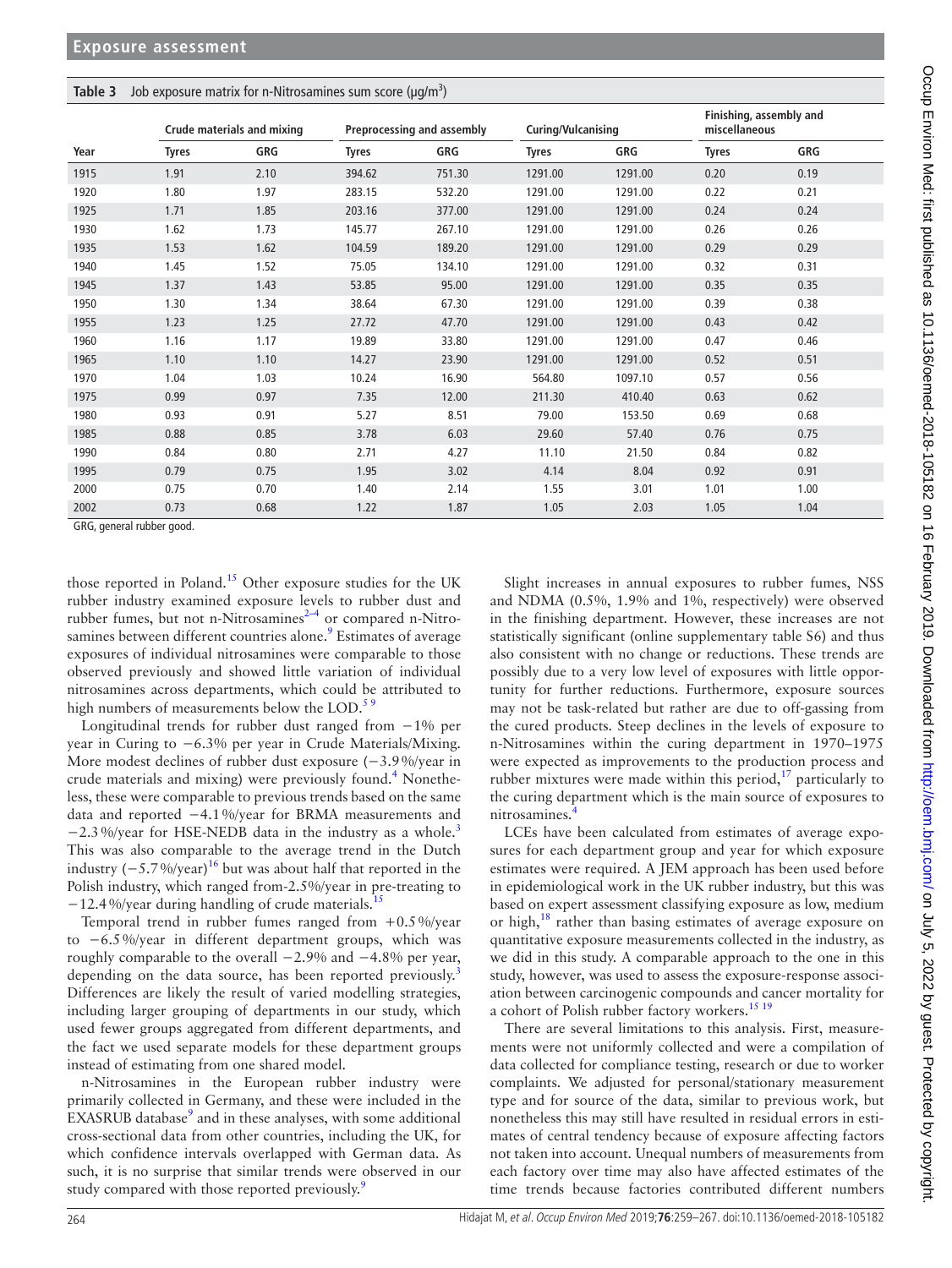## <span id="page-5-0"></span>**Table 3** Job exposure matrix for n-Nitrosamines sum score (μg/m<sup>3</sup>)

|      |              | Crude materials and mixing |              | Preprocessing and assembly | Curing/Vulcanising |         | miscellaneous | Finishing, assembly and |
|------|--------------|----------------------------|--------------|----------------------------|--------------------|---------|---------------|-------------------------|
| Year | <b>Tyres</b> | GRG                        | <b>Tyres</b> | GRG                        | <b>Tyres</b>       | GRG     | <b>Tyres</b>  | GRG                     |
| 1915 | 1.91         | 2.10                       | 394.62       | 751.30                     | 1291.00            | 1291.00 | 0.20          | 0.19                    |
| 1920 | 1.80         | 1.97                       | 283.15       | 532.20                     | 1291.00            | 1291.00 | 0.22          | 0.21                    |
| 1925 | 1.71         | 1.85                       | 203.16       | 377.00                     | 1291.00            | 1291.00 | 0.24          | 0.24                    |
| 1930 | 1.62         | 1.73                       | 145.77       | 267.10                     | 1291.00            | 1291.00 | 0.26          | 0.26                    |
| 1935 | 1.53         | 1.62                       | 104.59       | 189.20                     | 1291.00            | 1291.00 | 0.29          | 0.29                    |
| 1940 | 1.45         | 1.52                       | 75.05        | 134.10                     | 1291.00            | 1291.00 | 0.32          | 0.31                    |
| 1945 | 1.37         | 1.43                       | 53.85        | 95.00                      | 1291.00            | 1291.00 | 0.35          | 0.35                    |
| 1950 | 1.30         | 1.34                       | 38.64        | 67.30                      | 1291.00            | 1291.00 | 0.39          | 0.38                    |
| 1955 | 1.23         | 1.25                       | 27.72        | 47.70                      | 1291.00            | 1291.00 | 0.43          | 0.42                    |
| 1960 | 1.16         | 1.17                       | 19.89        | 33.80                      | 1291.00            | 1291.00 | 0.47          | 0.46                    |
| 1965 | 1.10         | 1.10                       | 14.27        | 23.90                      | 1291.00            | 1291.00 | 0.52          | 0.51                    |
| 1970 | 1.04         | 1.03                       | 10.24        | 16.90                      | 564.80             | 1097.10 | 0.57          | 0.56                    |
| 1975 | 0.99         | 0.97                       | 7.35         | 12.00                      | 211.30             | 410.40  | 0.63          | 0.62                    |
| 1980 | 0.93         | 0.91                       | 5.27         | 8.51                       | 79.00              | 153.50  | 0.69          | 0.68                    |
| 1985 | 0.88         | 0.85                       | 3.78         | 6.03                       | 29.60              | 57.40   | 0.76          | 0.75                    |
| 1990 | 0.84         | 0.80                       | 2.71         | 4.27                       | 11.10              | 21.50   | 0.84          | 0.82                    |
| 1995 | 0.79         | 0.75                       | 1.95         | 3.02                       | 4.14               | 8.04    | 0.92          | 0.91                    |
| 2000 | 0.75         | 0.70                       | 1.40         | 2.14                       | 1.55               | 3.01    | 1.01          | 1.00                    |
| 2002 | 0.73         | 0.68                       | 1.22         | 1.87                       | 1.05               | 2.03    | 1.05          | 1.04                    |

GRG, general rubber good.

those reported in Poland.<sup>[15](#page-8-12)</sup> Other exposure studies for the UK rubber industry examined exposure levels to rubber dust and rubber fumes, but not n-Nitrosamines<sup>2-4</sup> or compared n-Nitrosamines between different countries alone.<sup>9</sup> Estimates of average exposures of individual nitrosamines were comparable to those observed previously and showed little variation of individual nitrosamines across departments, which could be attributed to high numbers of measurements below the LOD.<sup>59</sup>

Longitudinal trends for rubber dust ranged from −1% per year in Curing to −6.3% per year in Crude Materials/Mixing. More modest declines of rubber dust exposure (−3.9%/year in crude materials and mixing) were previously found.<sup>[4](#page-8-8)</sup> Nonetheless, these were comparable to previous trends based on the same data and reported −4.1%/year for BRMA measurements and  $-2.3\%$  $-2.3\%$  $-2.3\%$ /year for HSE-NEDB data in the industry as a whole.<sup>3</sup> This was also comparable to the average trend in the Dutch industry  $(-5.7\%/year)^{16}$  but was about half that reported in the Polish industry, which ranged from-2.5%/year in pre-treating to −12.4%/year during handling of crude materials.[15](#page-8-12)

Temporal trend in rubber fumes ranged from  $+0.5\%$ /year to −6.5%/year in different department groups, which was roughly comparable to the overall −2.9% and −4.8% per year, depending on the data source, has been reported previously.<sup>[3](#page-8-1)</sup> Differences are likely the result of varied modelling strategies, including larger grouping of departments in our study, which used fewer groups aggregated from different departments, and the fact we used separate models for these department groups instead of estimating from one shared model.

n-Nitrosamines in the European rubber industry were primarily collected in Germany, and these were included in the EXASRUB database<sup>[9](#page-8-6)</sup> and in these analyses, with some additional cross-sectional data from other countries, including the UK, for which confidence intervals overlapped with German data. As such, it is no surprise that similar trends were observed in our study compared with those reported previously.<sup>[9](#page-8-6)</sup>

Slight increases in annual exposures to rubber fumes, NSS and NDMA (0.5%, 1.9% and 1%, respectively) were observed in the finishing department. However, these increases are not statistically significant (online [supplementary table S6](https://dx.doi.org/10.1136/oemed-2018-105182)) and thus also consistent with no change or reductions. These trends are possibly due to a very low level of exposures with little opportunity for further reductions. Furthermore, exposure sources may not be task-related but rather are due to off-gassing from the cured products. Steep declines in the levels of exposure to n-Nitrosamines within the curing department in 1970–1975 were expected as improvements to the production process and rubber mixtures were made within this period, $17$  particularly to the curing department which is the main source of exposures to nitrosamines.

LCEs have been calculated from estimates of average exposures for each department group and year for which exposure estimates were required. A JEM approach has been used before in epidemiological work in the UK rubber industry, but this was based on expert assessment classifying exposure as low, medium or high,<sup>18</sup> rather than basing estimates of average exposure on quantitative exposure measurements collected in the industry, as we did in this study. A comparable approach to the one in this study, however, was used to assess the exposure-response association between carcinogenic compounds and cancer mortality for a cohort of Polish rubber factory workers.<sup>[15 19](#page-8-12)</sup>

There are several limitations to this analysis. First, measurements were not uniformly collected and were a compilation of data collected for compliance testing, research or due to worker complaints. We adjusted for personal/stationary measurement type and for source of the data, similar to previous work, but nonetheless this may still have resulted in residual errors in estimates of central tendency because of exposure affecting factors not taken into account. Unequal numbers of measurements from each factory over time may also have affected estimates of the time trends because factories contributed different numbers

Γ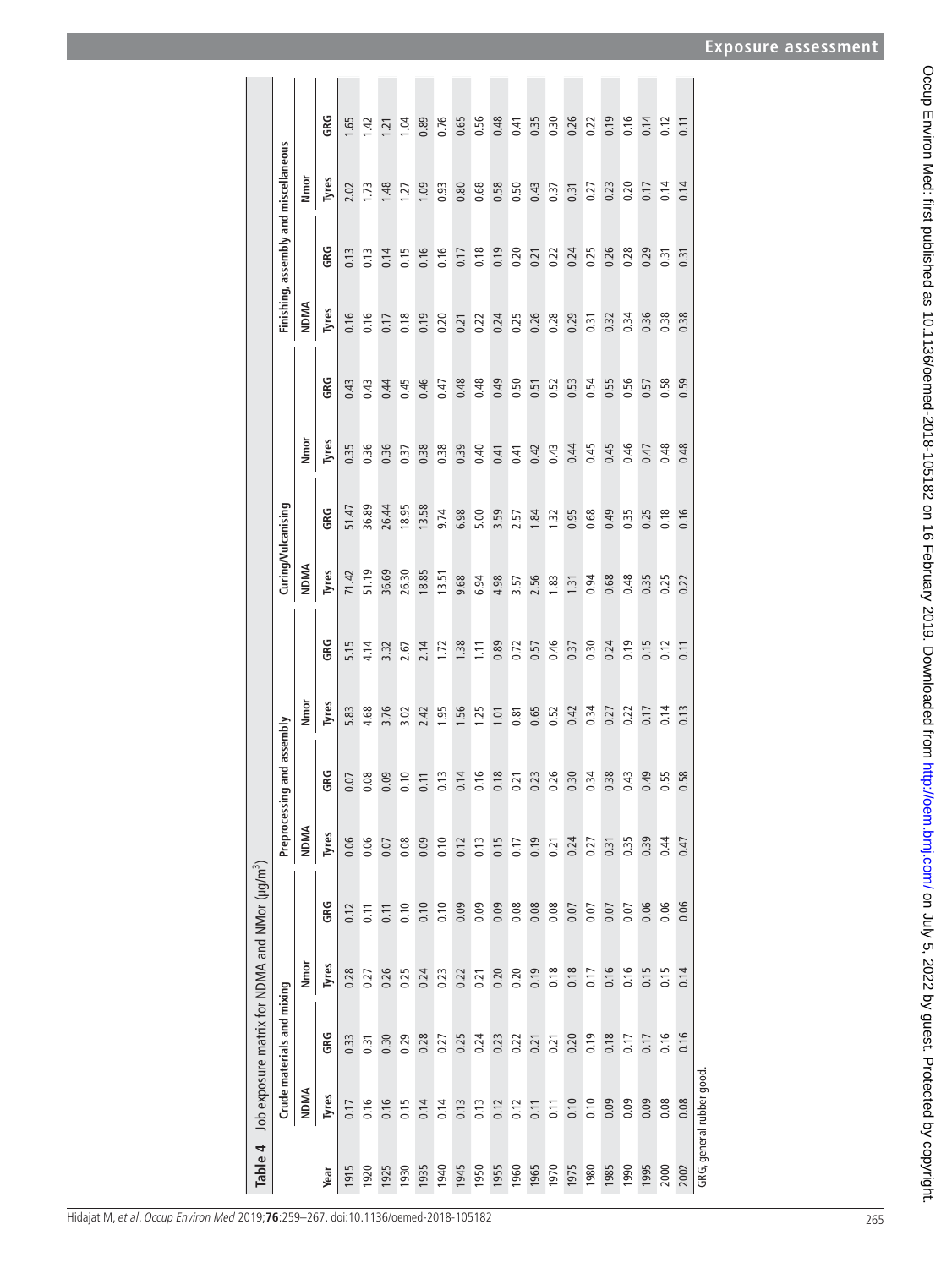<span id="page-6-0"></span>

| Table 4 |                          |                            | Job exposure matrix for NDMA and NMor (µq/m <sup>3</sup> ) |      |               |                  |       |      |                    |         |       |      |             |                                       |       |                  |
|---------|--------------------------|----------------------------|------------------------------------------------------------|------|---------------|------------------|-------|------|--------------------|---------|-------|------|-------------|---------------------------------------|-------|------------------|
|         |                          | Crude materials and mixing |                                                            |      | Preprocessing | and assembly     |       |      | Curing/Vulcanising |         |       |      |             | Finishing, assembly and miscellaneous |       |                  |
|         | <b>NDMA</b>              |                            | Nmor                                                       |      | <b>NDMA</b>   |                  | Nmor  |      | NDMA               |         | Nmor  |      | <b>NDMA</b> |                                       | Nmor  |                  |
| Year    | Tyres                    | GRG                        | Tyres                                                      | GRG  | Tyres         | G.               | Tyres | GRG  | Tyres              | ទី<br>ច | Tyres | GRG  | Tyres       | GRG                                   | Tyres | gg               |
| 1915    | 0.17                     | 0.33                       | 0.28                                                       | 0.12 | 0.06          | $\overline{0}$   | 5.83  | 5.15 | 71.42              | 51.47   | 0.35  | 0.43 | 0.16        | 0.13                                  | 2.02  | 1.65             |
| 1920    | 0.16                     | 0.31                       | 0.27                                                       | 0.11 | 0.06          | $\overline{0}$   | 4.68  | 4.14 | 51.19              | 36.89   | 0.36  | 0.43 | 0.16        | 0.13                                  | 1.73  | $\overline{142}$ |
| 1925    | 0.16                     | 0.30                       | 0.26                                                       | 0.11 | 0.07          | $\ddot{\circ}$   | 3.76  | 3.32 | 36.69              | 26.44   | 0.36  | 0.44 | 0.17        | 0.14                                  | 1.48  | 1.21             |
| 1930    | 0.15                     | 0.29                       | 0.25                                                       | 0.10 | 0.08          | 0.10             | 3.02  | 2.67 | 26.30              | 18.95   | 0.37  | 0.45 | 0.18        | 0.15                                  | 1.27  | 1.04             |
| 1935    | 0.14                     | 0.28                       | 0.24                                                       | 0.10 | 0.09          | 0.11             | 2.42  | 2.14 | 18.85              | 13.58   | 0.38  | 0.46 | 0.19        | 0.16                                  | 1.09  | 0.89             |
| 1940    | 0.14                     | 0.27                       | 0.23                                                       | 0.10 | 0.10          | 0.13             | 1.95  | 1.72 | 13.51              | 9.74    | 0.38  | 0.47 | 0.20        | 0.16                                  | 0.93  | 0.76             |
| 1945    | 0.13                     | 0.25                       | 0.22                                                       | 0.09 | 0.12          | 0.14             | 1.56  | 1.38 | 9.68               | 6.98    | 0.39  | 0.48 | 0.21        | 0.17                                  | 0.80  | 0.65             |
| 1950    | 0.13                     | 0.24                       | 0.21                                                       | 0.09 | 0.13          | 0.16             | 1.25  | 1.11 | 6.94               | 5.00    | 0.40  | 0.48 | 0.22        | 0.18                                  | 0.68  | 0.56             |
| 1955    | 0.12                     | 0.23                       | 0.20                                                       | 0.09 | 0.15          | 0.18             | 1.01  | 0.89 | 4.98               | 3.59    | 0.41  | 0.49 | 0.24        | 0.19                                  | 0.58  | 0.48             |
| 1960    | 0.12                     | 0.22                       | 0.20                                                       | 0.08 | 0.17          | $\overline{21}$  | 0.81  | 0.72 | 3.57               | 2.57    | 0.41  | 0.50 | 0.25        | 0.20                                  | 0.50  | 0.41             |
| 1965    | 0.11                     | 0.21                       | 0.19                                                       | 0.08 | 0.19          | 23               | 0.65  | 0.57 | 2.56               | 1.84    | 0.42  | 0.51 | 0.26        | 0.21                                  | 0.43  | 0.35             |
| 1970    | 0.11                     | 0.21                       | 0.18                                                       | 0.08 | 0.21          | 26               | 0.52  | 0.46 | 1.83               | 1.32    | 0.43  | 0.52 | 0.28        | 0.22                                  | 0.37  | 0.30             |
| 1975    | 0.10                     | 0.20                       | 0.18                                                       | 0.07 | 0.24          | $\overline{.}30$ | 0.42  | 0.37 | 1.31               | 0.95    | 0.44  | 0.53 | 0.29        | 0.24                                  | 0.31  | 0.26             |
| 1980    | 0.10                     | 0.19                       | 0.17                                                       | 0.07 | 0.27          | $\ddot{ }$       | 0.34  | 0.30 | 0.94               | 0.68    | 0.45  | 0.54 | 0.31        | 0.25                                  | 0.27  | 0.22             |
| 1985    | 0.09                     | 0.18                       | 0.16                                                       | 0.07 | 0.31          | 38               | 0.27  | 0.24 | 0.68               | 0.49    | 0.45  | 0.55 | 0.32        | 0.26                                  | 0.23  | 0.19             |
| 1990    | 0.09                     | 0.17                       | 0.16                                                       | 0.07 | 0.35          | $\ddot{a}$       | 0.22  | 0.19 | 0.48               | 0.35    | 0.46  | 0.56 | 0.34        | 0.28                                  | 0.20  | 0.16             |
| 1995    | 0.09                     | 0.17                       | 0.15                                                       | 0.06 | 0.39          | 49               | 0.17  | 0.15 | 0.35               | 0.25    | 0.47  | 0.57 | 0.36        | 0.29                                  | 0.17  | 0.14             |
| 2000    | 0.08                     | 0.16                       | 0.15                                                       | 0.06 | 0.44          | 55               | 0.14  | 0.12 | 0.25               | 0.18    | 0.48  | 0.58 | 0.38        | 0.31                                  | 0.14  | 0.12             |
| 2002    | 0.08                     | 0.16                       | 0.14                                                       | 0.06 | 0.47          | 58.              | 0.13  | 0.11 | 0.22               | 0.16    | 0.48  | 0.59 | 0.38        | 0.31                                  | 0.14  | 0.11             |
|         | GRG, general rubber good |                            |                                                            |      |               |                  |       |      |                    |         |       |      |             |                                       |       |                  |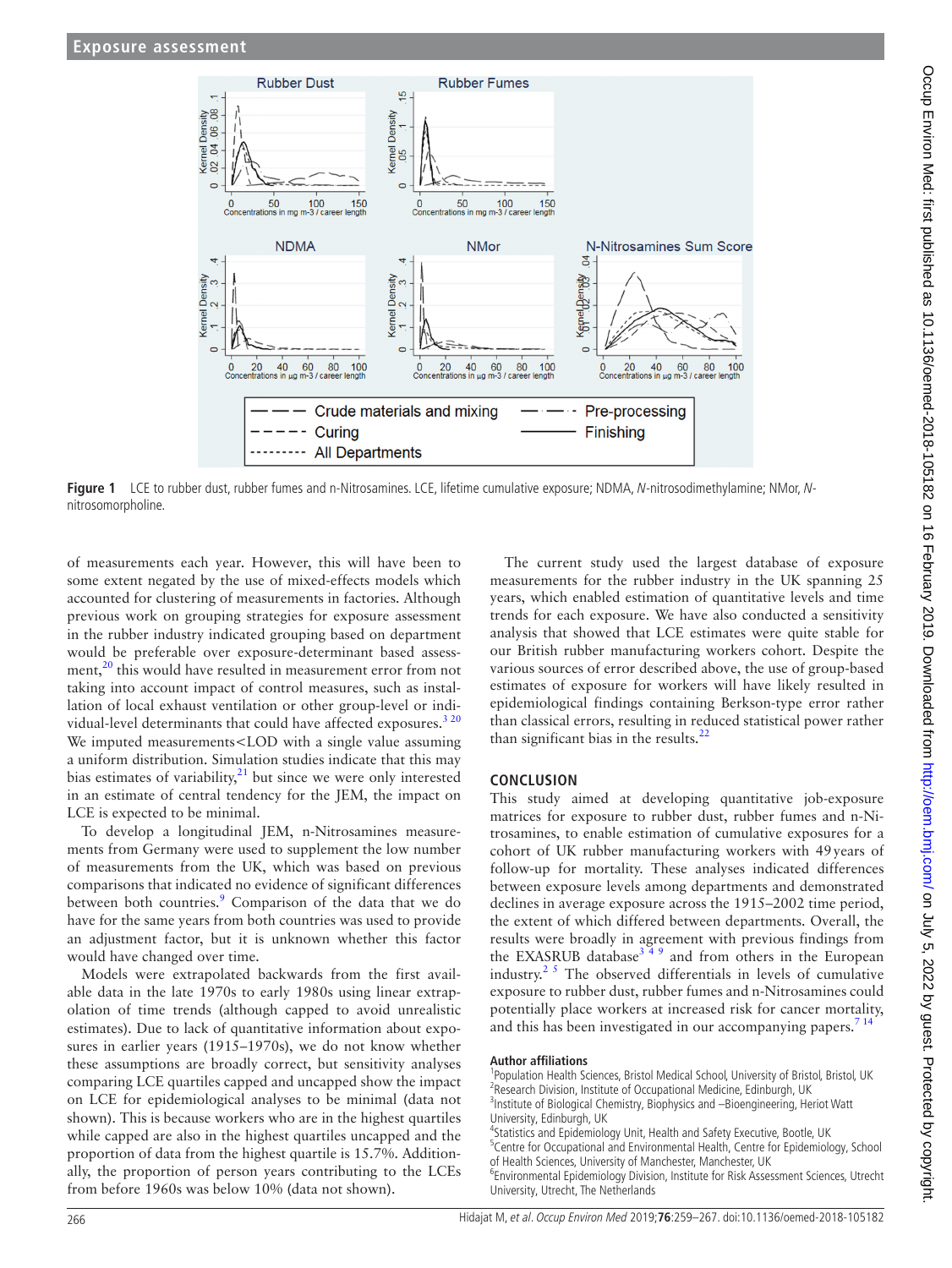

**Figure 1** LCE to rubber dust, rubber fumes and n-Nitrosamines. LCE, lifetime cumulative exposure; NDMA, N-nitrosodimethylamine; NMor, Nnitrosomorpholine.

of measurements each year. However, this will have been to some extent negated by the use of mixed-effects models which accounted for clustering of measurements in factories. Although previous work on grouping strategies for exposure assessment in the rubber industry indicated grouping based on department would be preferable over exposure-determinant based assessment,<sup>20</sup> this would have resulted in measurement error from not taking into account impact of control measures, such as installation of local exhaust ventilation or other group-level or indi-vidual-level determinants that could have affected exposures.<sup>[3 20](#page-8-1)</sup> We imputed measurements<LOD with a single value assuming a uniform distribution. Simulation studies indicate that this may bias estimates of variability, $21$  but since we were only interested in an estimate of central tendency for the JEM, the impact on LCE is expected to be minimal.

To develop a longitudinal JEM, n-Nitrosamines measurements from Germany were used to supplement the low number of measurements from the UK, which was based on previous comparisons that indicated no evidence of significant differences between both countries.<sup>9</sup> Comparison of the data that we do have for the same years from both countries was used to provide an adjustment factor, but it is unknown whether this factor would have changed over time.

Models were extrapolated backwards from the first available data in the late 1970s to early 1980s using linear extrapolation of time trends (although capped to avoid unrealistic estimates). Due to lack of quantitative information about exposures in earlier years (1915–1970s), we do not know whether these assumptions are broadly correct, but sensitivity analyses comparing LCE quartiles capped and uncapped show the impact on LCE for epidemiological analyses to be minimal (data not shown). This is because workers who are in the highest quartiles while capped are also in the highest quartiles uncapped and the proportion of data from the highest quartile is 15.7%. Additionally, the proportion of person years contributing to the LCEs from before 1960s was below 10% (data not shown).

<span id="page-7-0"></span>The current study used the largest database of exposure measurements for the rubber industry in the UK spanning 25 years, which enabled estimation of quantitative levels and time trends for each exposure. We have also conducted a sensitivity analysis that showed that LCE estimates were quite stable for our British rubber manufacturing workers cohort. Despite the various sources of error described above, the use of group-based estimates of exposure for workers will have likely resulted in epidemiological findings containing Berkson-type error rather than classical errors, resulting in reduced statistical power rather than significant bias in the results. $^{22}$ 

## **Conclusion**

This study aimed at developing quantitative job-exposure matrices for exposure to rubber dust, rubber fumes and n-Nitrosamines, to enable estimation of cumulative exposures for a cohort of UK rubber manufacturing workers with 49years of follow-up for mortality. These analyses indicated differences between exposure levels among departments and demonstrated declines in average exposure across the 1915–2002 time period, the extent of which differed between departments. Overall, the results were broadly in agreement with previous findings from the EXASRUB database<sup>349</sup> and from others in the European industry.<sup>[2 5](#page-8-13)</sup> The observed differentials in levels of cumulative exposure to rubber dust, rubber fumes and n-Nitrosamines could potentially place workers at increased risk for cancer mortality, and this has been investigated in our accompanying papers.<sup>714</sup>

#### **Author affiliations**

- <sup>1</sup>Population Health Sciences, Bristol Medical School, University of Bristol, Bristol, UK
- <sup>2</sup> Research Division, Institute of Occupational Medicine, Edinburgh, UK<br><sup>3</sup> Institute of Pielogical Chemistar, Piephysics and Piegpaineering, He <sup>3</sup>Institute of Biological Chemistry, Biophysics and -Bioengineering, Heriot Watt
- University, Edinburgh, UK <sup>4</sup>
- <sup>4</sup>Statistics and Epidemiology Unit, Health and Safety Executive, Bootle, UK <sup>5</sup>Centre for Occupational and Environmental Health, Centre for Epidemiology, School
- of Health Sciences, University of Manchester, Manchester, UK <sup>6</sup>

Environmental Epidemiology Division, Institute for Risk Assessment Sciences, Utrecht University, Utrecht, The Netherlands